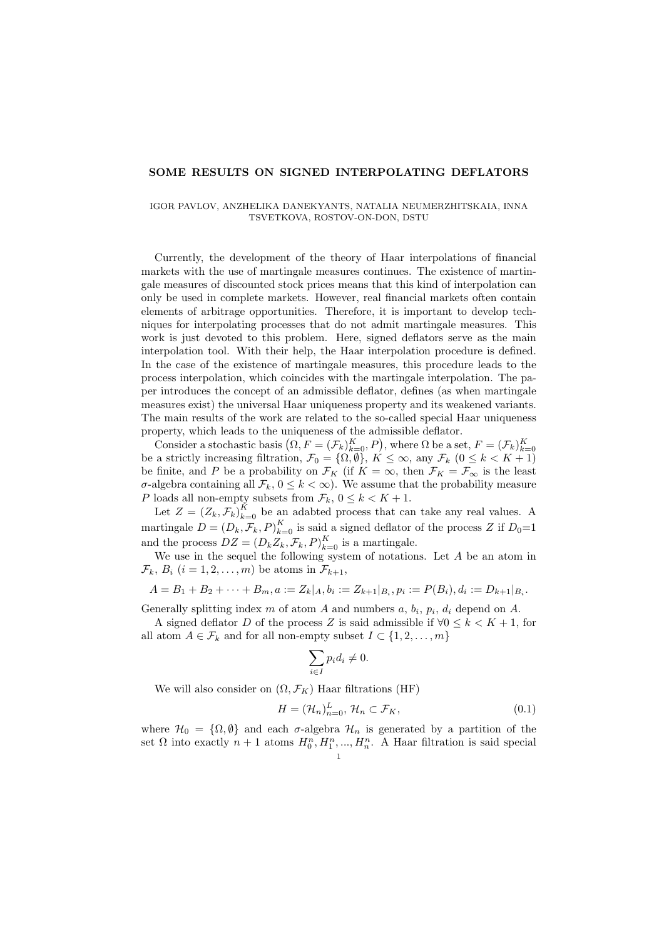## SOME RESULTS ON SIGNED INTERPOLATING DEFLATORS

## IGOR PAVLOV, ANZHELIKA DANEKYANTS, NATALIA NEUMERZHITSKAIA, INNA TSVETKOVA, ROSTOV-ON-DON, DSTU

Currently, the development of the theory of Haar interpolations of financial markets with the use of martingale measures continues. The existence of martingale measures of discounted stock prices means that this kind of interpolation can only be used in complete markets. However, real financial markets often contain elements of arbitrage opportunities. Therefore, it is important to develop techniques for interpolating processes that do not admit martingale measures. This work is just devoted to this problem. Here, signed deflators serve as the main interpolation tool. With their help, the Haar interpolation procedure is defined. In the case of the existence of martingale measures, this procedure leads to the process interpolation, which coincides with the martingale interpolation. The paper introduces the concept of an admissible deflator, defines (as when martingale measures exist) the universal Haar uniqueness property and its weakened variants. The main results of the work are related to the so-called special Haar uniqueness property, which leads to the uniqueness of the admissible deflator.

Consider a stochastic basis  $(Q, F = (\mathcal{F}_k)_{k=0}^K, P)$ , where  $\Omega$  be a set,  $F = (\mathcal{F}_k)_{k=0}^K$ be a strictly increasing filtration,  $\mathcal{F}_0 = \{ \Omega, \overline{\emptyset} \}$ ,  $K \leq \infty$ , any  $\mathcal{F}_k$   $(0 \leq k \leq K+1)$ be finite, and P be a probability on  $\mathcal{F}_K$  (if  $K = \infty$ , then  $\mathcal{F}_K = \mathcal{F}_{\infty}$  is the least σ-algebra containing all  $\mathcal{F}_k$ ,  $0 \leq k < \infty$ ). We assume that the probability measure P loads all non-empty subsets from  $\mathcal{F}_k$ ,  $0 \leq k < K + 1$ .

Let  $Z = (Z_k, \mathcal{F}_k)_{k=0}^K$  be an adabted process that can take any real values. A martingale  $D = (D_k, \mathcal{F}_k, P)_{k=0}^K$  is said a signed deflator of the process Z if  $D_0=1$ and the process  $DZ = (D_k Z_k, \mathcal{F}_k, P)_{k=0}^K$  is a martingale.

We use in the sequel the following system of notations. Let  $A$  be an atom in  $\mathcal{F}_k$ ,  $B_i$   $(i = 1, 2, \ldots, m)$  be atoms in  $\mathcal{F}_{k+1}$ ,

$$
A = B_1 + B_2 + \cdots + B_m, a := Z_k | A, b_i := Z_{k+1} | B_i, p_i := P(B_i), d_i := D_{k+1} | B_i.
$$

Generally splitting index m of atom A and numbers  $a, b_i, p_i, d_i$  depend on A.

A signed deflator D of the process Z is said admissible if  $\forall 0 \leq k < K + 1$ , for all atom  $A \in \mathcal{F}_k$  and for all non-empty subset  $I \subset \{1, 2, \ldots, m\}$ 

$$
\sum_{i \in I} p_i d_i \neq 0.
$$

We will also consider on  $(\Omega, \mathcal{F}_K)$  Haar filtrations (HF)

$$
H = (\mathcal{H}_n)_{n=0}^L, \, \mathcal{H}_n \subset \mathcal{F}_K,\tag{0.1}
$$

where  $\mathcal{H}_0 = \{\Omega, \emptyset\}$  and each  $\sigma$ -algebra  $\mathcal{H}_n$  is generated by a partition of the set  $\Omega$  into exactly  $n+1$  atoms  $H_0^n, H_1^n, ..., H_n^n$ . A Haar filtration is said special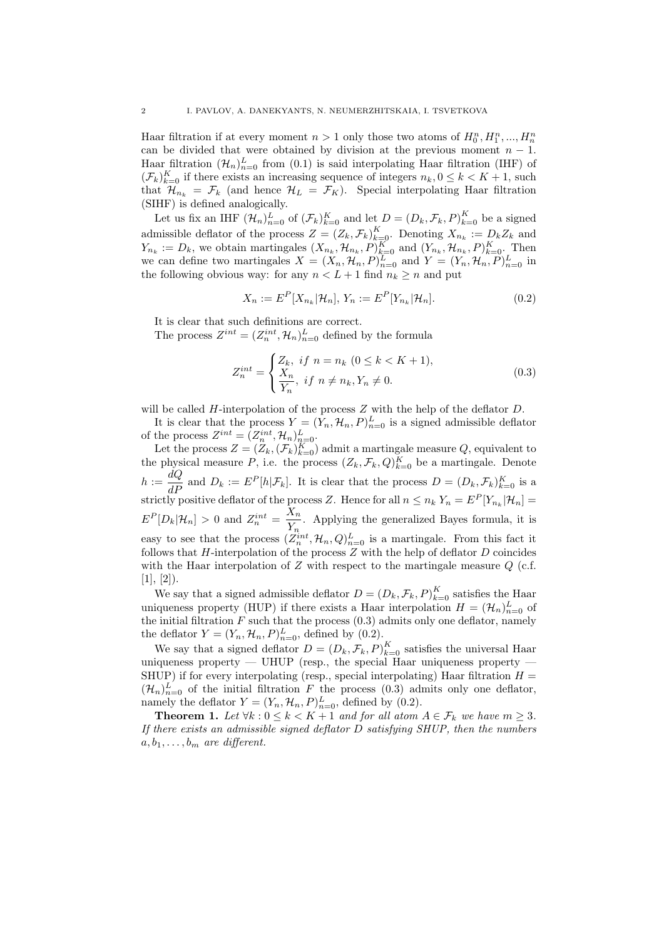Haar filtration if at every moment  $n > 1$  only those two atoms of  $H_0^n, H_1^n, ..., H_n^n$ can be divided that were obtained by division at the previous moment  $n-1$ . Haar filtration  $(\mathcal{H}_n)_{n=0}^L$  from  $(0.1)$  is said interpolating Haar filtration (IHF) of  $(\mathcal{F}_k)_{k=0}^K$  if there exists an increasing sequence of integers  $n_k, 0 \leq k < K+1$ , such that  $\mathcal{H}_{n_k} = \mathcal{F}_k$  (and hence  $\mathcal{H}_L = \mathcal{F}_K$ ). Special interpolating Haar filtration (SIHF) is defined analogically.

Let us fix an IHF  $(\mathcal{H}_n)_{n=0}^L$  of  $(\mathcal{F}_k)_{k=0}^K$  and let  $D = (D_k, \mathcal{F}_k, P)_{k=0}^K$  be a signed admissible deflator of the process  $Z = (Z_k, \mathcal{F}_k)_{k=0}^K$ . Denoting  $X_{n_k} := D_k Z_k$  and  $Y_{n_k} := D_k$ , we obtain martingales  $(X_{n_k}, \mathcal{H}_{n_k}, P)_{k=0}^K$  and  $(Y_{n_k}, \mathcal{H}_{n_k}, P)_{k=0}^K$ . Then we can define two martingales  $X = (X_n, \mathcal{H}_n, P)_{n=0}^L$  and  $Y = (Y_n, \mathcal{H}_n, P)_{n=0}^L$  in the following obvious way: for any  $n < L + 1$  find  $n_k \geq n$  and put

$$
X_n := E^P[X_{n_k} | \mathcal{H}_n], \ Y_n := E^P[Y_{n_k} | \mathcal{H}_n]. \tag{0.2}
$$

It is clear that such definitions are correct.

The process  $Z^{int} = (Z_n^{int}, \mathcal{H}_n)_{n=0}^L$  defined by the formula

$$
Z_n^{int} = \begin{cases} Z_k, & \text{if } n = n_k \ (0 \le k < K + 1), \\ \frac{X_n}{Y_n}, & \text{if } n \ne n_k, Y_n \ne 0. \end{cases} \tag{0.3}
$$

will be called  $H$ -interpolation of the process  $Z$  with the help of the deflator  $D$ .

It is clear that the process  $Y = (Y_n, \mathcal{H}_n, P)_{n=0}^L$  is a signed admissible deflator of the process  $Z^{int} = (Z_n^{int}, \mathcal{H}_n)_{n=0}^L$ .

Let the process  $Z = (Z_k, (\mathcal{F}_k)_{k=0}^K)$  admit a martingale measure  $Q$ , equivalent to the physical measure P, i.e. the process  $(Z_k, \mathcal{F}_k, Q)_{k=0}^K$  be a martingale. Denote  $h := \frac{dQ}{dP}$  and  $D_k := E^P[h|\mathcal{F}_k]$ . It is clear that the process  $D = (D_k, \mathcal{F}_k)_{k=0}^K$  is a strictly positive deflator of the process Z. Hence for all  $n \leq n_k Y_n = E^P[Y_{n_k}|\mathcal{H}_n] =$  $E^P[D_k|\mathcal{H}_n] > 0$  and  $Z_n^{int} = \frac{X_n}{V}$  $\frac{X_n}{Y_n}$ . Applying the generalized Bayes formula, it is easy to see that the process  $(Z_n^{int}, \mathcal{H}_n, Q)_{n=0}^L$  is a martingale. From this fact it follows that  $H$ -interpolation of the process  $Z$  with the help of deflator  $D$  coincides with the Haar interpolation of  $Z$  with respect to the martingale measure  $Q$  (c.f.  $[1], [2]$ .

We say that a signed admissible deflator  $D = (D_k, \mathcal{F}_k, P)_{k=0}^K$  satisfies the Haar uniqueness property (HUP) if there exists a Haar interpolation  $H = (\mathcal{H}_n)_{n=0}^L$  of the initial filtration  $F$  such that the process  $(0.3)$  admits only one deflator, namely the deflator  $Y = (Y_n, \mathcal{H}_n, P)_{n=0}^L$ , defined by (0.2).

We say that a signed deflator  $D = (D_k, \mathcal{F}_k, P)_{k=0}^K$  satisfies the universal Haar uniqueness property — UHUP (resp., the special Haar uniqueness property — SHUP) if for every interpolating (resp., special interpolating) Haar filtration  $H =$  $(\mathcal{H}_n)_{n=0}^L$  of the initial filtration F the process (0.3) admits only one deflator, namely the deflator  $Y = (Y_n, \mathcal{H}_n, P)_{n=0}^L$ , defined by (0.2).

**Theorem 1.** Let  $\forall k : 0 \le k \le K+1$  and for all atom  $A \in \mathcal{F}_k$  we have  $m \ge 3$ . If there exists an admissible signed deflator  $D$  satisfying SHUP, then the numbers  $a, b_1, \ldots, b_m$  are different.